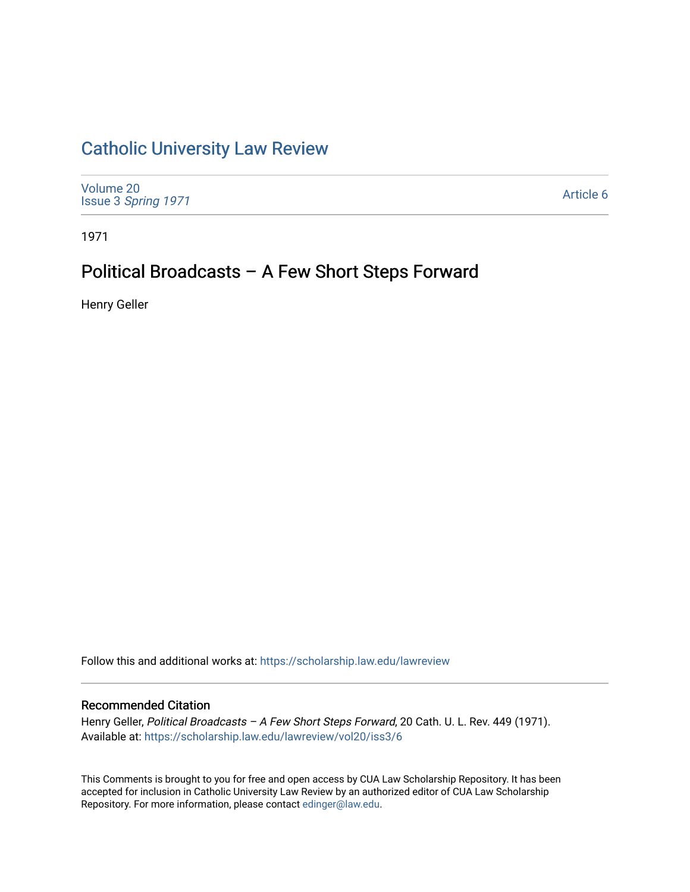## [Catholic University Law Review](https://scholarship.law.edu/lawreview)

[Volume 20](https://scholarship.law.edu/lawreview/vol20) Issue 3 [Spring 1971](https://scholarship.law.edu/lawreview/vol20/iss3) 

[Article 6](https://scholarship.law.edu/lawreview/vol20/iss3/6) 

1971

# Political Broadcasts – A Few Short Steps Forward

Henry Geller

Follow this and additional works at: [https://scholarship.law.edu/lawreview](https://scholarship.law.edu/lawreview?utm_source=scholarship.law.edu%2Flawreview%2Fvol20%2Fiss3%2F6&utm_medium=PDF&utm_campaign=PDFCoverPages)

### Recommended Citation

Henry Geller, Political Broadcasts - A Few Short Steps Forward, 20 Cath. U. L. Rev. 449 (1971). Available at: [https://scholarship.law.edu/lawreview/vol20/iss3/6](https://scholarship.law.edu/lawreview/vol20/iss3/6?utm_source=scholarship.law.edu%2Flawreview%2Fvol20%2Fiss3%2F6&utm_medium=PDF&utm_campaign=PDFCoverPages)

This Comments is brought to you for free and open access by CUA Law Scholarship Repository. It has been accepted for inclusion in Catholic University Law Review by an authorized editor of CUA Law Scholarship Repository. For more information, please contact [edinger@law.edu.](mailto:edinger@law.edu)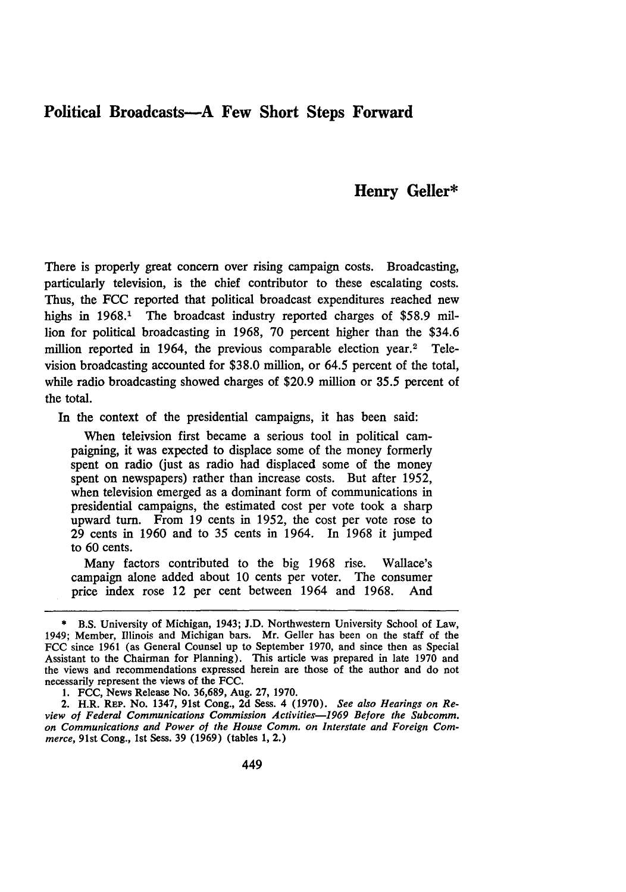## **Political Broadcasts-A Few Short Steps Forward**

### **Henry Geller\***

There is properly great concern over rising campaign costs. Broadcasting, particularly television, is the chief contributor to these escalating costs. Thus, the **FCC** reported that political broadcast expenditures reached new highs in 1968.<sup>1</sup> The broadcast industry reported charges of \$58.9 million for political broadcasting in 1968, 70 percent higher than the \$34.6 million reported in 1964, the previous comparable election year.<sup>2</sup> Television broadcasting accounted for \$38.0 million, or 64.5 percent of the total, while radio broadcasting showed charges of \$20.9 million or 35.5 percent of the total.

In the context of the presidential campaigns, it has been said:

When teleivsion first became a serious tool in political campaigning, it was expected to displace some of the money formerly spent on radio (just as radio had displaced some of the money spent on newspapers) rather than increase costs. But after 1952, when television emerged as a dominant form of communications in presidential campaigns, the estimated cost per vote took a sharp upward turn. From 19 cents in 1952, the cost per vote rose to 29 cents in 1960 and to 35 cents in 1964. In 1968 it jumped to 60 cents.

Many factors contributed to the big 1968 rise. Wallace's campaign alone added about 10 cents per voter. The consumer price index rose 12 per cent between 1964 and 1968. And

1. FCC, News Release No. 36,689, Aug. 27, 1970.

2. H.R. **REP.** No. 1347, 91st Cong., 2d Sess. 4 (1970). *See also Hearings on Review of Federal Communications Commission Activities-1969 Before the Subcomm. on Communications and Power of the House Comm. on Interstate and Foreign Commerce,* 91st Cong., 1st Sess. 39 (1969) (tables 1, 2.)

<sup>\*</sup> B.S. University of Michigan, 1943; J.D. Northwestern University School of Law, 1949; Member, Illinois and Michigan bars. Mr. Geller has been on the staff of the FCC since 1961 (as General Counsel up to September 1970, and since then as Special Assistant to the Chairman for Planning). This article was prepared in late 1970 and the views and recommendations expressed herein are those of the author and do not necessarily represent the views of the FCC.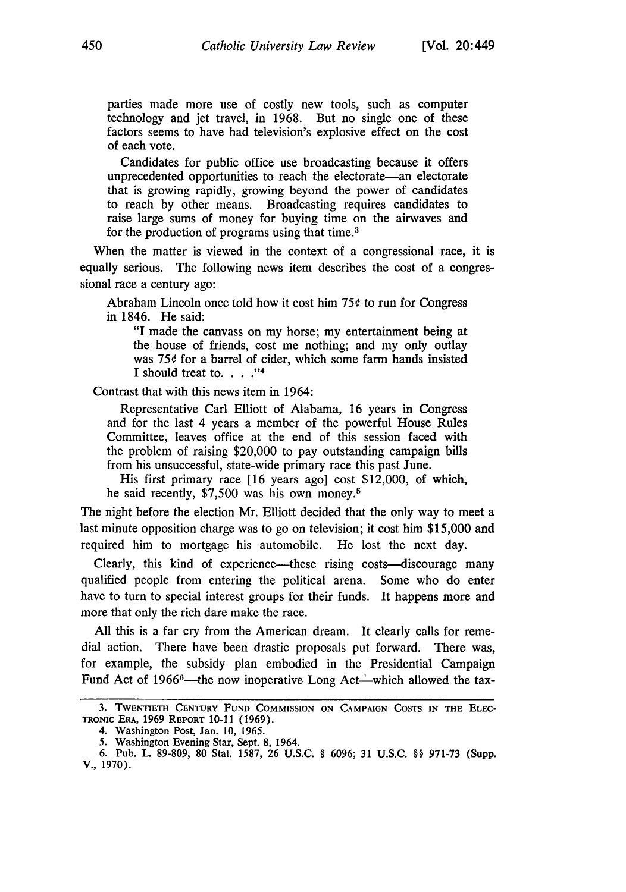parties made more use of costly new tools, such as computer technology and jet travel, in 1968. But no single one of these factors seems to have had television's explosive effect on the cost of each vote.

Candidates for public office use broadcasting because it offers unprecedented opportunities to reach the electorate-an electorate that is growing rapidly, growing beyond the power of candidates to reach by other means. Broadcasting requires candidates to raise large sums of money for buying time on the airwaves and for the production of programs using that time.<sup>3</sup>

When the matter is viewed in the context of a congressional race, it is equally serious. The following news item describes the cost of a congressional race a century ago:

Abraham Lincoln once told how it cost him 75¢ to run for Congress in 1846. He said:

"I made the canvass on my horse; my entertainment being at the house of friends, cost me nothing; and my only outlay was 75¢ for a barrel of cider, which some farm hands insisted I should treat to.  $\ldots$  ."<sup>4</sup>

Contrast that with this news item in 1964:

Representative Carl Elliott of Alabama, 16 years in Congress and for the last 4 years a member of the powerful House Rules Committee, leaves office at the end of this session faced with the problem of raising \$20,000 to pay outstanding campaign bills from his unsuccessful, state-wide primary race this past June.

His first primary race [16 years ago] cost \$12,000, of which, he said recently, \$7,500 was his own money.5

The night before the election Mr. Elliott decided that the only way to meet a last minute opposition charge was to go on television; it cost him \$15,000 and required him to mortgage his automobile. He lost the next day.

Clearly, this kind of experience—these rising costs—discourage many qualified people from entering the political arena. Some who do enter have to turn to special interest groups for their funds. It happens more and more that only the rich dare make the race.

All this is a far cry from the American dream. It clearly calls for remedial action. There have been drastic proposals put forward. There was, for example, the subsidy plan embodied in the Presidential Campaign Fund Act of 1966<sup>6</sup>—the now inoperative Long Act—which allowed the tax-

**<sup>3.</sup>** TWENTIETH CENTURY **FUND COMMISSION ON** CAMPAIGN **COSTS IN THE ELEC-TROmNc ERA, 1969** REPORT **10-11 (1969).**

<sup>4.</sup> Washington Post, Jan. **10,** 1965.

<sup>5.</sup> Washington Evening Star, Sept. **8,** 1964.

**<sup>6.</sup>** Pub. L. **89-809, 80** Stat. **1587, 26 U.S.C. § 6096; 31 U.S.C. §§ 971-73** (Supp. V., **1970).**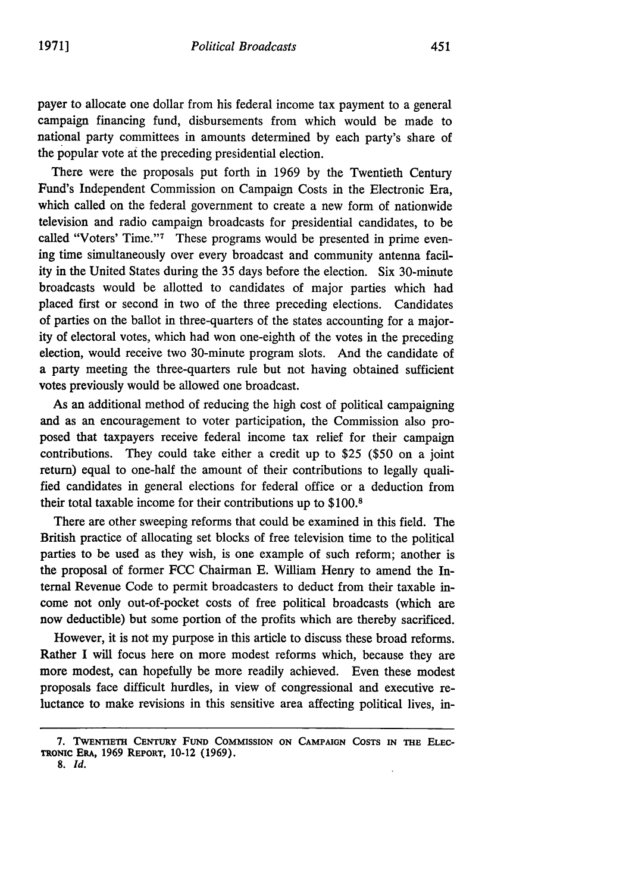payer to allocate one dollar from his federal income tax payment to a general campaign financing fund, disbursements from which would be made to national party committees in amounts determined by each party's share of the popular vote at the preceding presidential election.

There were the proposals put forth in 1969 by the Twentieth Century Fund's Independent Commission on Campaign Costs in the Electronic Era, which called on the federal government to create a new form of nationwide television and radio campaign broadcasts for presidential candidates, to be called "Voters' Time."<sup>7</sup> These programs would be presented in prime evening time simultaneously over every broadcast and community antenna facility in the United States during the 35 days before the election. Six 30-minute broadcasts would be allotted to candidates of major parties which had placed first or second in two of the three preceding elections. Candidates of parties on the ballot in three-quarters of the states accounting for a majority of electoral votes, which had won one-eighth of the votes in the preceding election, would receive two 30-minute program slots. And the candidate of a party meeting the three-quarters rule but not having obtained sufficient votes previously would be allowed one broadcast.

As an additional method of reducing the high cost of political campaigning and as an encouragement to voter participation, the Commission also proposed that taxpayers receive federal income tax relief for their campaign contributions. They could take either a credit up to \$25 (\$50 on a joint return) equal to one-half the amount of their contributions to legally qualified candidates in general elections for federal office or a deduction from their total taxable income for their contributions up to \$100.8

There are other sweeping reforms that could be examined in this field. The British practice of allocating set blocks of free television time to the political parties to be used as they wish, is one example of such reform; another is the proposal of former FCC Chairman E. William Henry to amend the Internal Revenue Code to permit broadcasters to deduct from their taxable income not only out-of-pocket costs of free political broadcasts (which are now deductible) but some portion of the profits which are thereby sacrificed.

However, it is not my purpose in this article to discuss these broad reforms. Rather I will focus here on more modest reforms which, because they are more modest, can hopefully be more readily achieved. Even these modest proposals face difficult hurdles, in view of congressional and executive reluctance to make revisions in this sensitive area affecting political lives, in-

**<sup>7.</sup> TWENTIETH** CENTURY **FuND COMMISSION ON** CAMPAIGN **COSTS IN THE ELEC-**TRoNIC ERA, 1969 REPORT, 10-12 (1969).

**<sup>8.</sup>** *Id.*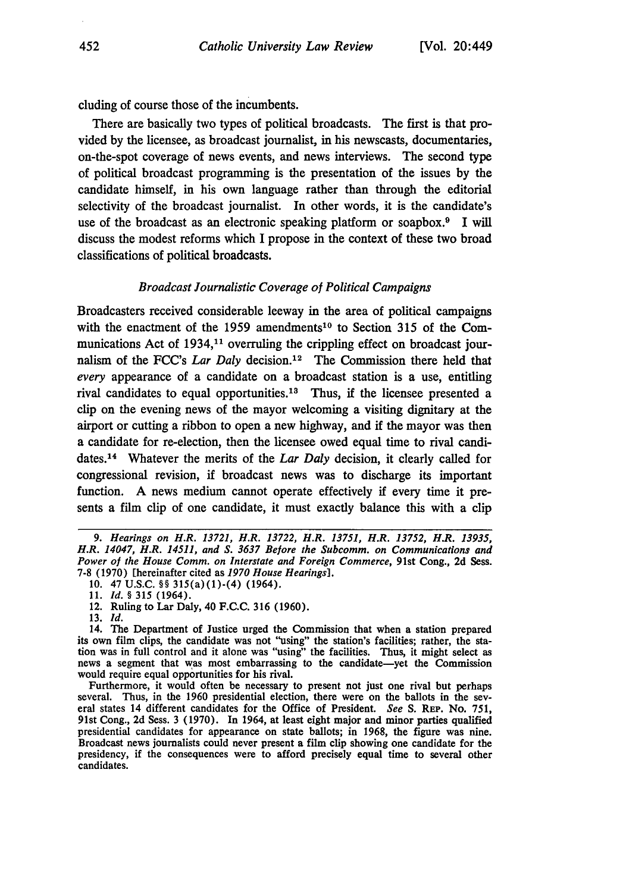cluding of course those of the incumbents.

There are basically two types of political broadcasts. The first is that provided by the licensee, as broadcast journalist, in his newscasts, documentaries, on-the-spot coverage of news events, and news interviews. The second type of political broadcast programming is the presentation of the issues by the candidate himself, in his own language rather than through the editorial selectivity of the broadcast journalist. In other words, it is the candidate's use of the broadcast as an electronic speaking platform or soapbox.<sup>9</sup> I will discuss the modest reforms which I propose in the context of these two broad classifications of political broadcasts.

#### *Broadcast Journalistic Coverage of Political Campaigns*

Broadcasters received considerable leeway in the area of political campaigns with the enactment of the 1959 amendments<sup>10</sup> to Section 315 of the Communications Act of 1934,<sup>11</sup> overruling the crippling effect on broadcast journalism of the FCC's *Lar Daly* decision.<sup>12</sup> The Commission there held that *every* appearance of a candidate on a broadcast station is a use, entitling rival candidates to equal opportunities.<sup>13</sup> Thus, if the licensee presented a clip on the evening news of the mayor welcoming a visiting dignitary at the airport or cutting a ribbon to open a new highway, and if the mayor was then a candidate for re-election, then the licensee owed equal time to rival candidates.14 Whatever the merits of the *Lar Daly* decision, it clearly called for congressional revision, if broadcast news was to discharge its important function. A news medium cannot operate effectively if every time it presents a film clip of one candidate, it must exactly balance this with a clip

*<sup>9.</sup> Hearings on H.R. 13721, H.R. 13722, H.R. 13751, H.R. 13752, H.R. 13935, H.R. 14047, H.R. 14511, and S. 3637 Before the Subcomm. on Communications and Power of the House Comm. on Interstate and Foreign Commerce,* 91st Cong., **2d** Sess. 7-8 (1970) [hereinafter cited as *1970 House Hearings].*

<sup>10. 47</sup> U.S.C. §§ 315(a)(1)-(4) (1964).

<sup>11.</sup> Id. *§* 315 (1964).

<sup>12.</sup> Ruling to Lar Daly, 40 **F.C.C.** 316 (1960).

<sup>13.</sup> *id.*

<sup>14.</sup> The Department of Justice urged the Commission that when a station prepared its own film clips, the candidate was not "using" the station's facilities; rather, the sta**tion** was in full control and it alone was "using" the facilities. Thus, it might select as news a segment that was most embarrassing to the candidate-yet the Commission would require equal opportunities for his rival.

Furthermore, it would often be necessary to present not just one rival but perhaps several. Thus, in the **1960** presidential election, there were on the ballots in the several states 14 different candidates for the Office of President. *See* **S. REP.** No. **751,** 91st Cong., **2d** Sess. **3 (1970).** In 1964, at least eight major and minor parties qualified presidential candidates for appearance on state ballots; in **1968,** the figure was nine. Broadcast news journalists could never present a film clip showing one candidate for the presidency, if the consequences were to afford precisely equal time to several other candidates.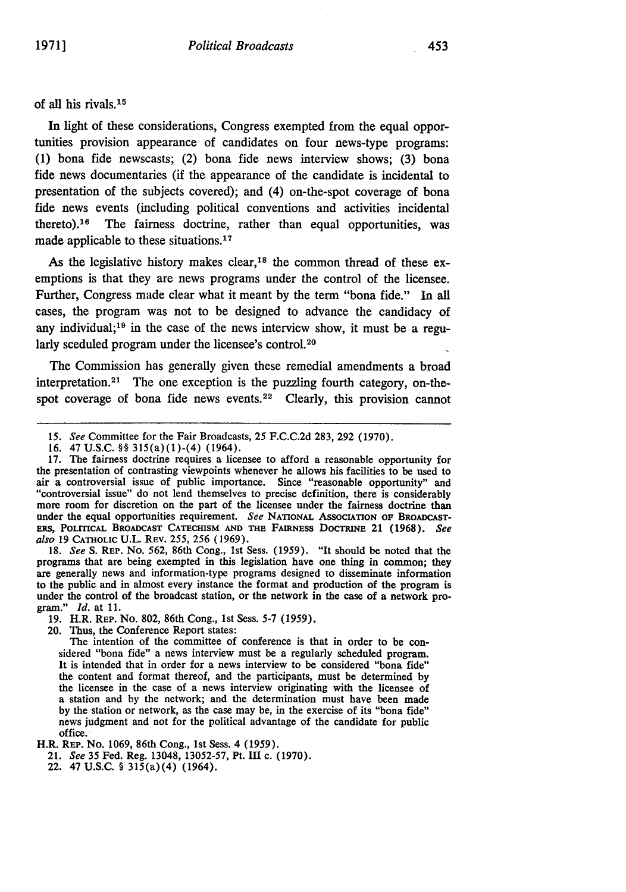#### of all his rivals. <sup>15</sup>

In light of these considerations, Congress exempted from the equal opportunities provision appearance of candidates on four news-type programs: **(1)** bona fide newscasts; (2) bona fide news interview shows; **(3)** bona fide news documentaries (if the appearance of the candidate is incidental to presentation of the subjects covered); and (4) on-the-spot coverage of bona fide news events (including political conventions and activities incidental thereto).<sup>16</sup> The fairness doctrine, rather than equal opportunities, was made applicable to these situations.<sup>17</sup>

As the legislative history makes clear,<sup>18</sup> the common thread of these exemptions is that they are news programs under the control of the licensee. Further, Congress made clear what it meant **by** the term "bona fide." In **all** cases, the program was not to be designed to advance the candidacy of any individual;<sup>19</sup> in the case of the news interview show, it must be a regularly sceduled program under the licensee's control.<sup>20</sup>

The Commission has generally given these remedial amendments a broad interpretation.<sup>21</sup> The one exception is the puzzling fourth category, on-thespot coverage of bona fide news events. $22$  Clearly, this provision cannot

**18.** *See* S. REP. No. 562, 86th Cong., 1st Sess. (1959). "It should be noted that the programs that are being exempted in this legislation have one thing in common; they are generally news and information-type programs designed to disseminate information to the public and in almost every instance the format and production of the program is under the control of the broadcast station, or the network in the case of a network program." *Id.* at **11.**

**19.** H.R. REP. No. **802,** 86th Cong., 1st Sess. 5-7 (1959).

20. Thus, the Conference Report states:

The intention of the committee of conference is that in order to be considered "bona fide" a news interview must be a regularly scheduled program. It is intended that in order for a news interview to be considered "bona fide" the content and format thereof, and the participants, must be determined **by** a station and by the network; and the determination must have been made **by** the station or network, as the case may be, in the exercise of its "bona fide" news judgment and not for the political advantage of the candidate for public office.

H.R. REP. No. 1069, 86th Cong., 1st Sess. 4 (1959).

21. *See* **35** Fed. Reg. 13048, 13052-57, Pt. III c. (1970).

22. 47 **U.S.C.** § 315(a) (4) (1964).

*<sup>15.</sup> See* Committee for the Fair Broadcasts, 25 F.C.C.2d 283, 292 (1970).

<sup>16. 47</sup> U.S.C. §§ 315(a)(1)-(4) (1964).

**<sup>17.</sup>** The fairness doctrine requires a licensee to afford a reasonable opportunity for the presentation of contrasting viewpoints whenever he allows his facilities to be used to air a controversial issue of public importance. Since "reasonable opportunity" and "controversial issue" do not lend themselves to precise definition, there is considerably more room for discretion on the part of the licensee under the fairness doctrine than under the equal opportunities requirement. *See* NATIONAL AssocIATION **OF** BROADCAST-Eass, POLrrICAL **BROADCAST** CATECHISM **AND THE FAIRNESS DOCMNE** 21 **(1968).** *See also* **19 CATHOLIC U.L.** REV. 255, 256 (1969).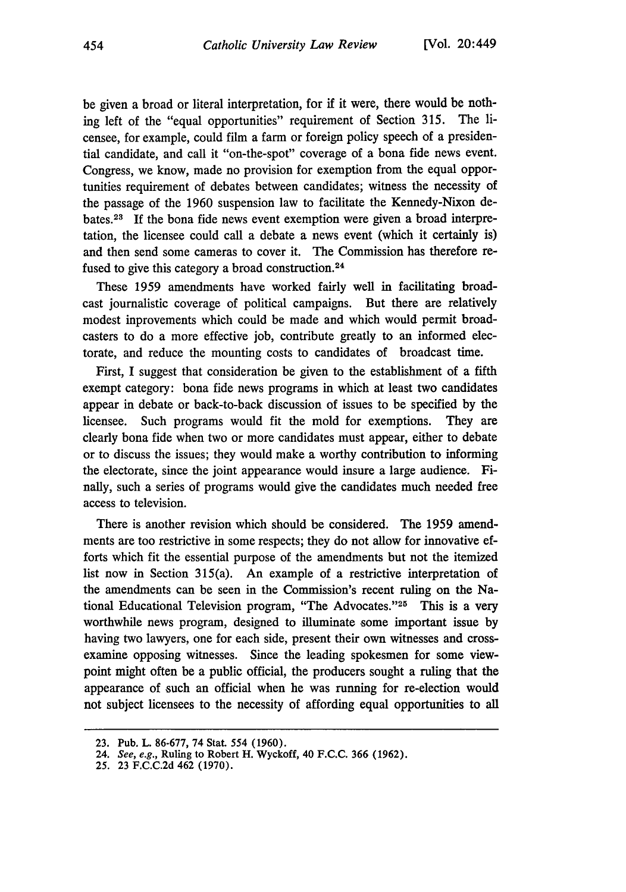be given a broad or literal interpretation, for if it were, there would be nothing left of the "equal opportunities" requirement of Section 315. The licensee, for example, could film a farm or foreign policy speech of a presidential candidate, and call it "on-the-spot" coverage of a bona fide news event. Congress, we know, made no provision for exemption from the equal opportunities requirement of debates between candidates; witness the necessity of the passage of the 1960 suspension law to facilitate the Kennedy-Nixon debates. <sup>23</sup>**If** the bona fide news event exemption were given a broad interpretation, the licensee could call a debate a news event (which it certainly is) and then send some cameras to cover it. The Commission has therefore refused to give this category a broad construction.<sup>24</sup>

These 1959 amendments have worked fairly well in facilitating broadcast journalistic coverage of political campaigns. But there are relatively modest inprovements which could be made and which would permit broadcasters to do a more effective job, contribute greatly to an informed electorate, and reduce the mounting costs to candidates of broadcast time.

First, I suggest that consideration be given to the establishment of a fifth exempt category: bona fide news programs in which at least two candidates appear in debate or back-to-back discussion of issues to be specified by the licensee. Such programs would fit the mold for exemptions. They are clearly bona fide when two or more candidates must appear, either to debate or to discuss the issues; they would make a worthy contribution to informing the electorate, since the joint appearance would insure a large audience. Finally, such a series of programs would give the candidates much needed free access to television.

There is another revision which should be considered. The 1959 amendments are too restrictive in some respects; they do not allow for innovative efforts which fit the essential purpose of the amendments but not the itemized list now in Section 315(a). An example of a restrictive interpretation of the amendments can be seen in the Commission's recent ruling on the National Educational Television program, "The Advocates."<sup>25</sup> This is a very worthwhile news program, designed to illuminate some important issue by having two lawyers, one for each side, present their own witnesses and crossexamine opposing witnesses. Since the leading spokesmen for some viewpoint might often be a public official, the producers sought a ruling that the appearance of such an official when he was running for re-election would not subject licensees to the necessity of affording equal opportunities to all

**<sup>23.</sup>** Pub. L. **86-677,** 74 Stat. 554 **(1960).**

**<sup>24.</sup>** See, e.g., Ruling to Robert H. Wyckoff, 40 F.C.C. **366** (1962).

<sup>25.</sup> **23 F.C.C.2d** 462 **(1970).**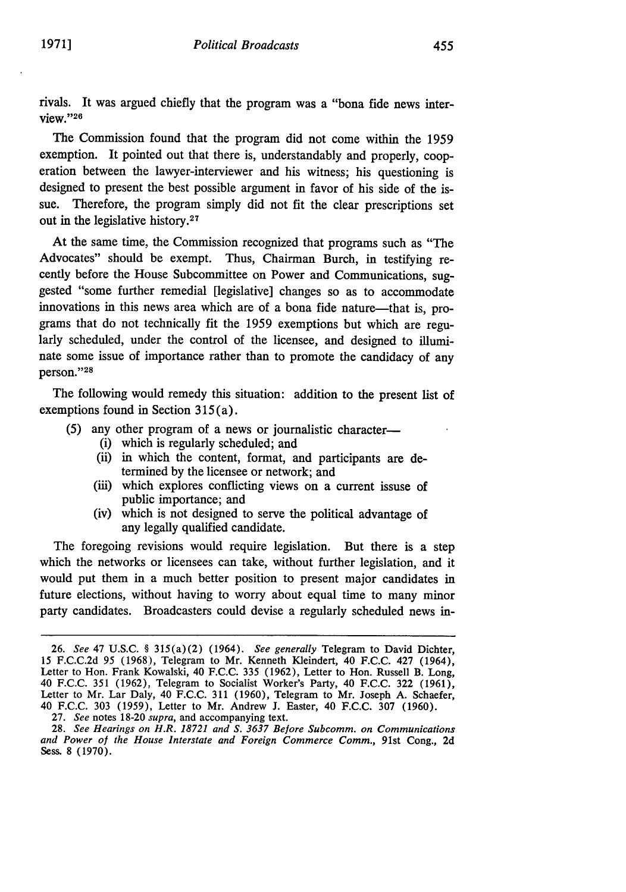455

rivals. It was argued chiefly that the program was a "bona fide news interview."26

The Commission found that the program did not come within the 1959 exemption. It pointed out that there is, understandably and properly, cooperation between the lawyer-interviewer and his witness; his questioning is designed to present the best possible argument in favor of his side of the issue. Therefore, the program simply did not fit the clear prescriptions set out in the legislative history.27

At the same time, the Commission recognized that programs such as "The Advocates" should be exempt. Thus, Chairman Burch, in testifying recently before the House Subcommittee on Power and Communications, suggested "some further remedial [legislative] changes so as to accommodate innovations in this news area which are of a bona fide nature-that is, programs that do not technically fit the 1959 exemptions but which are regularly scheduled, under the control of the licensee, and designed to illuminate some issue of importance rather than to promote the candidacy of any person."28

The following would remedy this situation: addition to the present list of exemptions found in Section 315 (a).

- **(5)** any other program of a news or journalistic character-
	- (i) which is regularly scheduled; and
	- (ii) in which the content, format, and participants are determined **by** the licensee or network; and
	- (iii) which explores conflicting views on a current issuse of public importance; and
	- (iv) which is not designed to serve the political advantage of any legally qualified candidate.

The foregoing revisions would require legislation. But there is a step which the networks or licensees can take, without further legislation, and it would put them in a much better position to present major candidates in future elections, without having to worry about equal time to many minor party candidates. Broadcasters could devise a regularly scheduled news in-

27. *See* notes 18-20 *supra,* and accompanying text.

<sup>26.</sup> *See* 47 U.S.C. § 315(a)(2) (1964). *See generally* Telegram to David Dichter, 15 F.C.C.2d 95 (1968), Telegram to Mr. Kenneth Kleindert, 40 F.C.C. 427 (1964), Letter to Hon. Frank Kowalski, 40 F.C.C. 335 (1962), Letter to Hon. Russell B. Long, 40 F.C.C. 351 (1962), Telegram to Socialist Worker's Party, 40 F.C.C. 322 (1961), Letter to Mr. Lar Daly, 40 F.C.C. 311 (1960), Telegram to Mr. Joseph A. Schaefer, 40 F.C.C. 303 (1959), Letter to Mr. Andrew J. Easter, 40 F.C.C. 307 (1960).

<sup>28.</sup> *See Hearings on H.R. 18721 and S. 3637 Before Subcomm. on Communications and Power of the House Interstate and Foreign Commerce Comm.,* 91st Cong., 2d Sess. 8 (1970).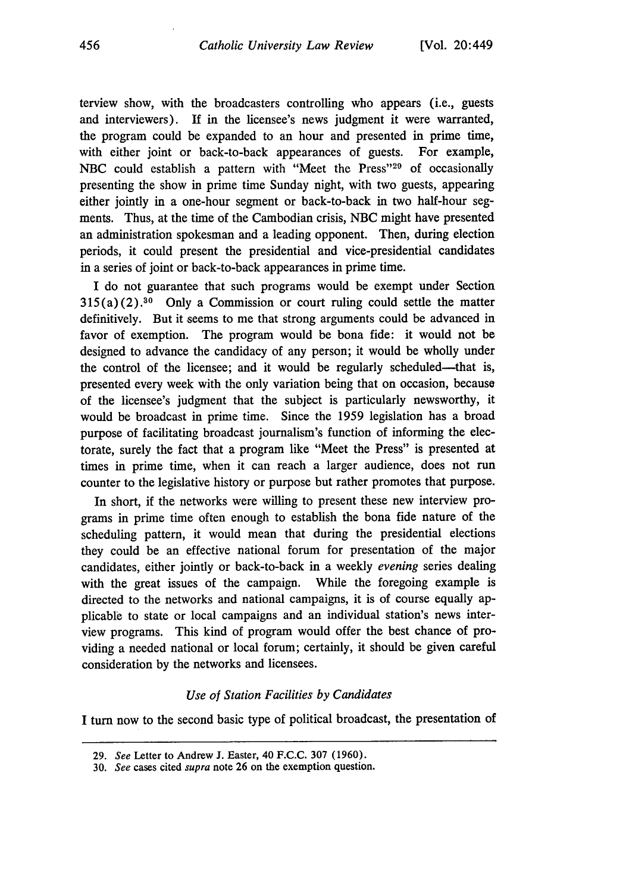terview show, with the broadcasters controlling who appears (i.e., guests and interviewers). If in the licensee's news judgment it were warranted, the program could be expanded to an hour and presented in prime time, with either joint or back-to-back appearances of guests. For example, NBC could establish a pattern with "Meet the Press"<sup>29</sup> of occasionally presenting the show in prime time Sunday night, with two guests, appearing either jointly in a one-hour segment or back-to-back in two half-hour segments. Thus, at the time of the Cambodian crisis, NBC might have presented an administration spokesman and a leading opponent. Then, during election periods, it could present the presidential and vice-presidential candidates in a series of joint or back-to-back appearances in prime time.

I do not guarantee that such programs would be exempt under Section  $315(a)(2).^{30}$  Only a Commission or court ruling could settle the matter definitively. But it seems to me that strong arguments could be advanced in favor of exemption. The program would be bona fide: it would not be designed to advance the candidacy of any person; it would be wholly under the control of the licensee; and it would be regularly scheduled—that is, presented every week with the only variation being that on occasion, because of the licensee's judgment that the subject is particularly newsworthy, it would be broadcast in prime time. Since the 1959 legislation has a broad purpose of facilitating broadcast journalism's function of informing the electorate, surely the fact that a program like "Meet the Press" is presented at times in prime time, when it can reach a larger audience, does not run counter to the legislative history or purpose but rather promotes that purpose.

In short, if the networks were willing to present these new interview programs in prime time often enough to establish the bona fide nature of the scheduling pattern, it would mean that during the presidential elections they could be an effective national forum for presentation of the major candidates, either jointly or back-to-back in a weekly *evening* series dealing with the great issues of the campaign. While the foregoing example is directed to the networks and national campaigns, it is of course equally applicable to state or local campaigns and an individual station's news interview programs. This kind of program would offer the best chance of providing a needed national or local forum; certainly, it should be given careful consideration **by** the networks and licensees.

#### *Use of Station Facilities by Candidates*

**I** turn now to the second basic type of political broadcast, the presentation of

**<sup>29.</sup>** See Letter to Andrew **J.** Easter, 40 **F.C.C. 307 (1960).**

**<sup>30.</sup>** See cases cited supra note **26** on the exemption question.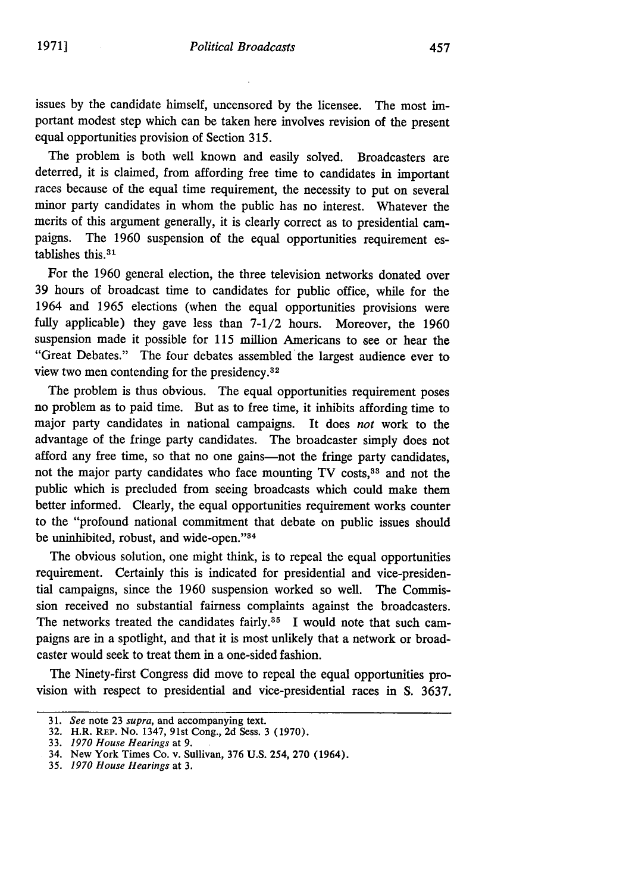issues **by** the candidate himself, uncensored **by** the licensee. The most important modest step which can be taken here involves revision of the present equal opportunities provision of Section 315.

The problem is both well known and easily solved. Broadcasters are deterred, it is claimed, from affording free time to candidates in important races because of the equal time requirement, the necessity to put on several minor party candidates in whom the public has no interest. Whatever the merits of this argument generally, it is clearly correct as to presidential campaigns. The 1960 suspension of the equal opportunities requirement establishes this. <sup>31</sup>

For the 1960 general election, the three television networks donated over 39 hours of broadcast time to candidates for public office, while for the 1964 and 1965 elections (when the equal opportunities provisions were fully applicable) they gave less than 7-1/2 hours. Moreover, the 1960 suspension made it possible for 115 million Americans to see or hear the "Great Debates." The four debates assembled the largest audience ever to view two men contending for the presidency.<sup>32</sup>

The problem is thus obvious. The equal opportunities requirement poses no problem as to paid time. But as to free time, it inhibits affording time to major party candidates in national campaigns. It does *not* work to the advantage of the fringe party candidates. The broadcaster simply does not afford any free time, so that no one gains—not the fringe party candidates, not the major party candidates who face mounting TV costs,<sup>33</sup> and not the public which is precluded from seeing broadcasts which could make them better informed. Clearly, the equal opportunities requirement works counter to the "profound national commitment that debate on public issues should be uninhibited, robust, and wide-open."<sup>34</sup>

The obvious solution, one might think, is to repeal the equal opportunities requirement. Certainly this is indicated for presidential and vice-presidential campaigns, since the 1960 suspension worked so well. The Commission received no substantial fairness complaints against the broadcasters. The networks treated the candidates fairly.<sup>35</sup> I would note that such campaigns are in a spotlight, and that it is most unlikely that a network or broadcaster would seek to treat them in a one-sided fashion.

The Ninety-first Congress did move to repeal the equal opportunities provision with respect to presidential and vice-presidential races in S. 3637.

<sup>31.</sup> *See* note 23 *supra,* and accompanying text.

<sup>32.</sup> H.R. REP. No. 1347, 91st Cong., 2d Sess. 3 (1970).

<sup>33.</sup> *1970 House Hearings* at 9.

<sup>34.</sup> New York Times Co. v. Sullivan, 376 U.S. 254, 270 (1964).

**<sup>35.</sup>** *1970 House Hearings* at 3.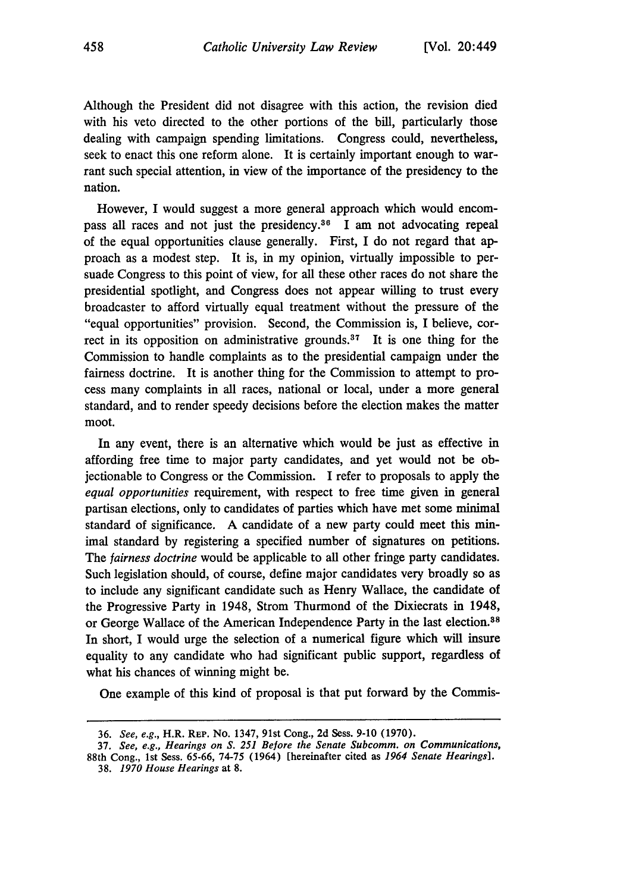Although the President did not disagree with this action, the revision died with his veto directed to the other portions of the bill, particularly those dealing with campaign spending limitations. Congress could, nevertheless, seek to enact this one reform alone. It is certainly important enough to warrant such special attention, in view of the importance of the presidency to the nation.

However, I would suggest a more general approach which would encompass all races and not just the presidency.<sup>36</sup> I am not advocating repeal of the equal opportunities clause generally. First, I do not regard that approach as a modest step. It is, in my opinion, virtually impossible to persuade Congress to this point of view, for all these other races do not share the presidential spotlight, and Congress does not appear willing to trust every broadcaster to afford virtually equal treatment without the pressure of the "equal opportunities" provision. Second, the Commission is, I believe, correct in its opposition on administrative grounds.<sup>37</sup> It is one thing for the Commission to handle complaints as to the presidential campaign under the fairness doctrine. It is another thing for the Commission to attempt to process many complaints in all races, national or local, under a more general standard, and to render speedy decisions before the election makes the matter moot.

In any event, there is an alternative which would be just as effective in affording free time to major party candidates, and yet would not be objectionable to Congress or the Commission. I refer to proposals to apply the *equal opportunities* requirement, with respect to free time given in general partisan elections, only to candidates of parties which have met some minimal standard of significance. A candidate of a new party could meet this minimal standard by registering a specified number of signatures on petitions. The *fairness doctrine* would be applicable to all other fringe party candidates. Such legislation should, of course, define major candidates very broadly so as to include any significant candidate such as Henry Wallace, the candidate of the Progressive Party in 1948, Strom Thurmond of the Dixiecrats in 1948, or George Wallace of the American Independence Party in the last election.<sup>38</sup> In short, I would urge the selection of a numerical figure which will insure equality to any candidate who had significant public support, regardless of what his chances of winning might be.

One example of this kind of proposal is that put forward by the Commis-

<sup>36.</sup> *See, e.g.,* H.R. REP. No. 1347, 91st Cong., 2d Sess. 9-10 (1970).

<sup>37.</sup> *See, e.g., Hearings on S. 251 Before the Senate Subcomm. on Communications,* 88th Cong., 1st Sess. 65-66, 74-75 (1964) [hereinafter cited as *1964 Senate Hearings].*

<sup>38.</sup> *1970 House Hearings* at 8.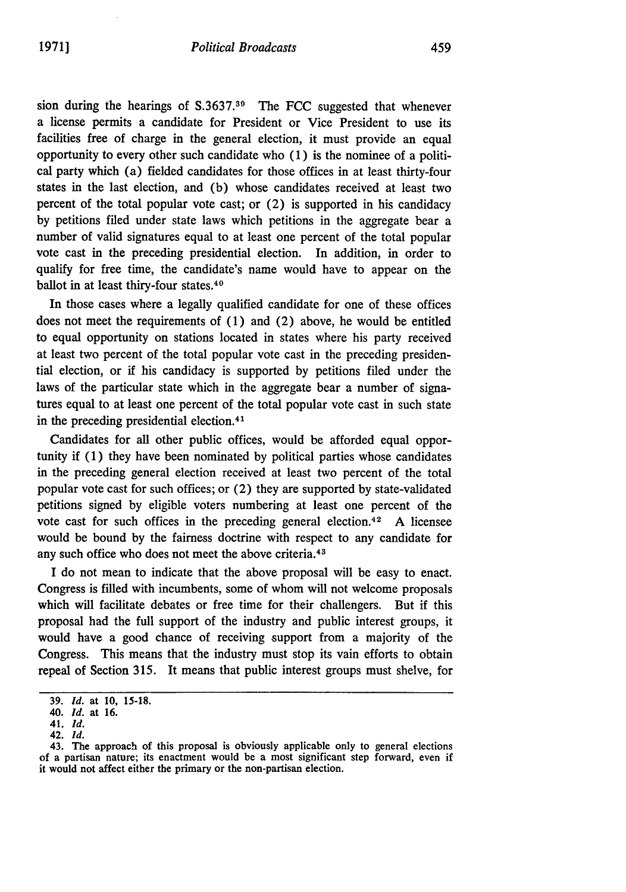sion during the hearings of S.3637.39 The FCC suggested that whenever a license permits a candidate for President or Vice President to use its facilities free of charge in the general election, it must provide an equal opportunity to every other such candidate who (1) is the nominee of a political party which (a) fielded candidates for those offices in at least thirty-four states in the last election, and (b) whose candidates received at least two percent of the total popular vote cast; or (2) is supported in his candidacy by petitions filed under state laws which petitions in the aggregate bear a number of valid signatures equal to at least one percent of the total popular vote cast in the preceding presidential election. In addition, in order to qualify for free time, the candidate's name would have to appear on the ballot in at least thiry-four states.<sup>40</sup>

In those cases where a legally qualified candidate for one of these offices does not meet the requirements of (1) and (2) above, he would be entitled to equal opportunity on stations located in states where his party received at least two percent of the total popular vote cast in the preceding presidential election, or if his candidacy is supported by petitions filed under the laws of the particular state which in the aggregate bear a number of signatures equal to at least one percent of the total popular vote cast in such state in the preceding presidential election.<sup>41</sup>

Candidates for all other public offices, would be afforded equal opportunity if (1) they have been nominated by political parties whose candidates in the preceding general election received at least two percent of the total popular vote cast for such offices; or (2) they are supported by state-validated petitions signed by eligible voters numbering at least one percent of the vote cast for such offices in the preceding general election.<sup>42</sup> A licensee would be bound by the fairness doctrine with respect to any candidate for any such office who does not meet the above criteria. <sup>43</sup>

I do not mean to indicate that the above proposal will be easy to enact. Congress is filled with incumbents, some of whom will not welcome proposals which will facilitate debates or free time for their challengers. But if this proposal had the full support of the industry and public interest groups, it would have a good chance of receiving support from a majority of the Congress. This means that the industry must stop its vain efforts to obtain repeal of Section 315. It means that public interest groups must shelve, for

<sup>39.</sup> *Id.* at **10,** 15-18.

<sup>40.</sup> *Id.* at 16.

<sup>41.</sup> *Id.*

<sup>42.</sup> *Id.*

<sup>43.</sup> The approach of this proposal is obviously applicable only to general elections of a partisan nature; its enactment would be a most significant step forward, even if it would not affect either the primary or the non-partisan election.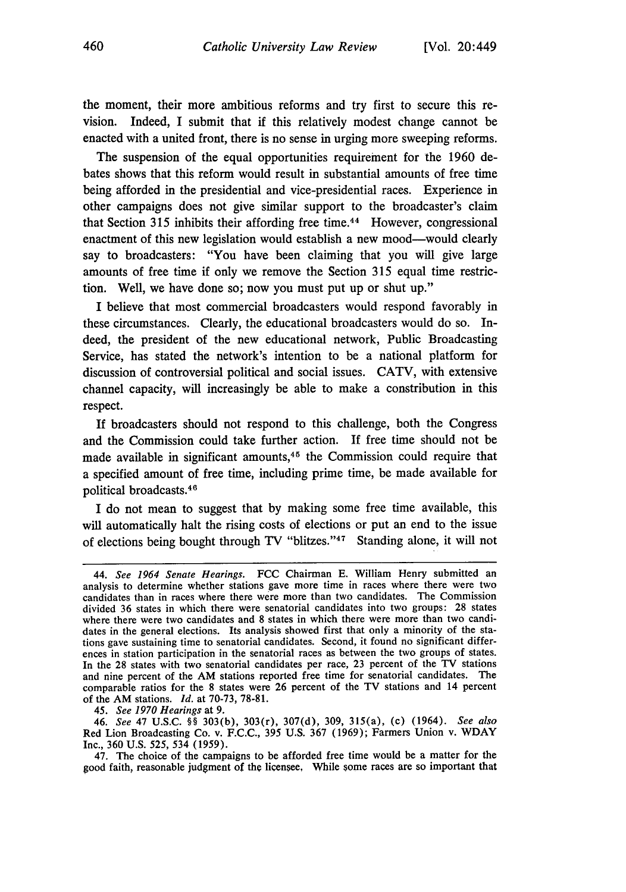the moment, their more ambitious reforms and try first to secure this revision. Indeed, I submit that if this relatively modest change cannot be enacted with a united front, there is no sense in urging more sweeping reforms.

The suspension of the equal opportunities requirement for the 1960 debates shows that this reform would result in substantial amounts of free time being afforded in the presidential and vice-presidential races. Experience in other campaigns does not give similar support to the broadcaster's claim that Section 315 inhibits their affording free time.<sup>44</sup> However, congressional enactment of this new legislation would establish a new mood-would clearly say to broadcasters: "You have been claiming that you will give large amounts of free time if only we remove the Section 315 equal time restriction. Well, we have done so; now you must put up or shut up."

I believe that most commercial broadcasters would respond favorably in these circumstances. Clearly, the educational broadcasters would do so. Indeed, the president of the new educational network, Public Broadcasting Service, has stated the network's intention to be a national platform for discussion of controversial political and social issues. CATV, with extensive channel capacity, will increasingly be able to make a constribution in this respect.

If broadcasters should not respond to this challenge, both the Congress and the Commission could take further action. If free time should not be made available in significant amounts, $45$  the Commission could require that a specified amount of free time, including prime time, be made available for political broadcasts. <sup>46</sup>

I do not mean to suggest that **by** making some free time available, this will automatically halt the rising costs of elections or put an end to the issue of elections being bought through TV "blitzes."<sup>47</sup> Standing alone, it will not

<sup>44.</sup> *See 1964 Senate Hearings.* **FCC** Chairman E. William Henry submitted an analysis to determine whether stations gave more time in races where there were two candidates than in races where there were more than two candidates. The Commission divided 36 states in which there were senatorial candidates into two groups: **28** states where there were two candidates and **8** states in which there were more than two candidates in the general elections. Its analysis showed first that only a minority of the stations gave sustaining time to senatorial candidates. Second, it found no significant differences in station participation in the senatorial races as between the two groups of states. In the **28** states with two senatorial candidates per race, **23** percent of the TV stations and nine percent of the AM stations reported free time for senatorial candidates. The comparable ratios for the **8** states were 26 percent of the TV stations and 14 percent of the AM stations. *Id.* at 70-73, **78-81.**

*<sup>45.</sup> See 1970 Hearings* at **9.**

<sup>46.</sup> See **47** U.S.C. §§ 303(b), 303(r), 307(d), 309, 315(a), (c) (1964). *See also* Red Lion Broadcasting Co. v. F.C.C., 395 **U.S.** 367 (1969); Farmers Union v. WDAY Inc., 360 U.S. **525, 534 (1959).**

<sup>47.</sup> The choice of the campaigns to be afforded free time would be a matter for the good faith, reasonable judgment of the licensee, While some races are so important that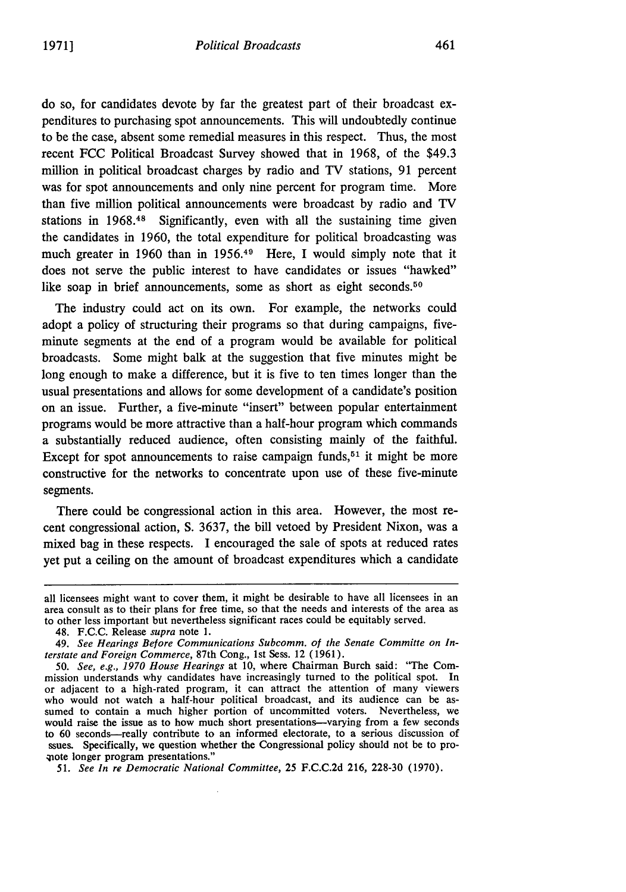do so, for candidates devote by far the greatest part of their broadcast expenditures to purchasing spot announcements. This will undoubtedly continue to be the case, absent some remedial measures in this respect. Thus, the most recent FCC Political Broadcast Survey showed that in 1968, of the \$49.3 million in political broadcast charges by radio and TV stations, 91 percent was for spot announcements and only nine percent for program time. More than five million political announcements were broadcast by radio and TV stations in 1968.48 Significantly, even with all the sustaining time given the candidates in 1960, the total expenditure for political broadcasting was much greater in 1960 than in 1956.<sup>49</sup> Here, I would simply note that it does not serve the public interest to have candidates or issues "hawked" like soap in brief announcements, some as short as eight seconds.<sup>50</sup>

The industry could act on its own. For example, the networks could adopt a policy of structuring their programs so that during campaigns, fiveminute segments at the end of a program would be available for political broadcasts. Some might balk at the suggestion that five minutes might be long enough to make a difference, but it is five to ten times longer than the usual presentations and allows for some development of a candidate's position on an issue. Further, a five-minute "insert" between popular entertainment programs would be more attractive than a half-hour program which commands a substantially reduced audience, often consisting mainly of the faithful. Except for spot announcements to raise campaign funds,  $51$  it might be more constructive for the networks to concentrate upon use of these five-minute segments.

There could be congressional action in this area. However, the most recent congressional action, **S.** 3637, the bill vetoed by President Nixon, was a mixed bag in these respects. I encouraged the sale of spots at reduced rates yet put a ceiling on the amount of broadcast expenditures which a candidate

48. F.C.C. Release *supra* note 1.

*51. See In re* Democratic *National Committee,* 25 F.C.C.2d 216, 228-30 (1970).

all licensees might want to cover them, it might be desirable to have all licensees in an area consult as to their plans for free time, so that the needs and interests of the area as to other less important but nevertheless significant races could be equitably served.

*<sup>49.</sup> See Hearings Before Communications Subcomm. of the Senate Committe on Interstate and Foreign Commerce,* 87th Cong., 1st Sess. 12 (1961).

*<sup>50.</sup> See, e.g., 1970 House Hearings* at 10, where Chairman Burch said: "The Commission understands why candidates have increasingly turned to the political spot. In or adjacent to a high-rated program, it can attract the attention of many viewers who would not watch a half-hour political broadcast, and its audience can be assumed to contain a much higher portion of uncommitted voters. Nevertheless, we would raise the issue as to how much short presentations-varying from a few seconds to 60 seconds-really contribute to an informed electorate, to a serious discussion of ssues. Specifically, we question whether the Congressional policy should not be to propote longer program presentations."